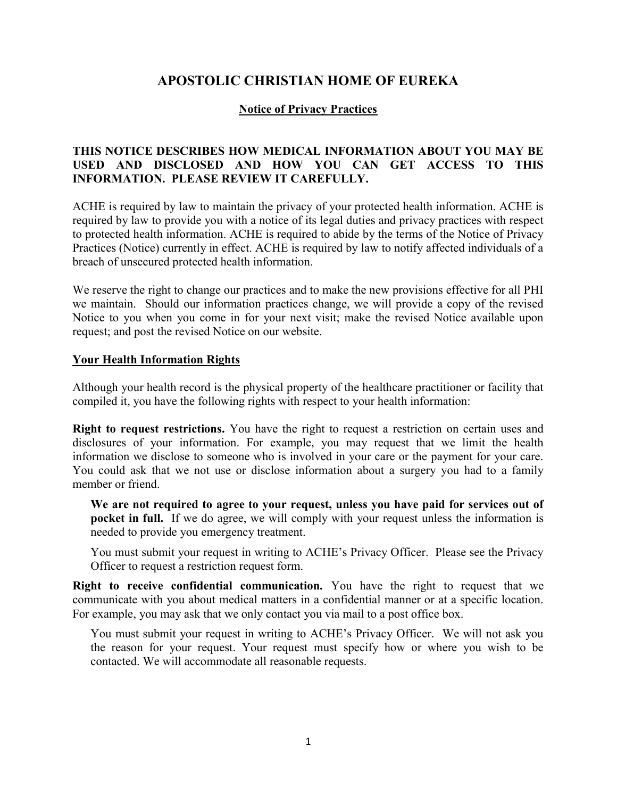# APOSTOLIC CHRISTIAN HOME OF EUREKA

# Notice of Privacy Practices

# THIS NOTICE DESCRIBES HOW MEDICAL INFORMATION ABOUT YOU MAY BE USED AND DISCLOSED AND HOW YOU CAN GET ACCESS TO THIS INFORMATION. PLEASE REVIEW IT CAREFULLY.

ACHE is required by law to maintain the privacy of your protected health information. ACHE is required by law to provide you with a notice of its legal duties and privacy practices with respect to protected health information. ACHE is required to abide by the terms of the Notice of Privacy Practices (Notice) currently in effect. ACHE is required by law to notify affected individuals of a breach of unsecured protected health information.

We reserve the right to change our practices and to make the new provisions effective for all PHI we maintain. Should our information practices change, we will provide a copy of the revised Notice to you when you come in for your next visit; make the revised Notice available upon request; and post the revised Notice on our website.

#### Your Health Information Rights

Although your health record is the physical property of the healthcare practitioner or facility that compiled it, you have the following rights with respect to your health information:

**Right to request restrictions.** You have the right to request a restriction on certain uses and disclosures of your information. For example, you may request that we limit the health information we disclose to someone who is involved in your care or the payment for your care. You could ask that we not use or disclose information about a surgery you had to a family member or friend.

We are not required to agree to your request, unless you have paid for services out of pocket in full. If we do agree, we will comply with your request unless the information is needed to provide you emergency treatment.

You must submit your request in writing to ACHE's Privacy Officer. Please see the Privacy Officer to request a restriction request form.

Right to receive confidential communication. You have the right to request that we communicate with you about medical matters in a confidential manner or at a specific location. For example, you may ask that we only contact you via mail to a post office box.

You must submit your request in writing to ACHE's Privacy Officer. We will not ask you the reason for your request. Your request must specify how or where you wish to be contacted. We will accommodate all reasonable requests.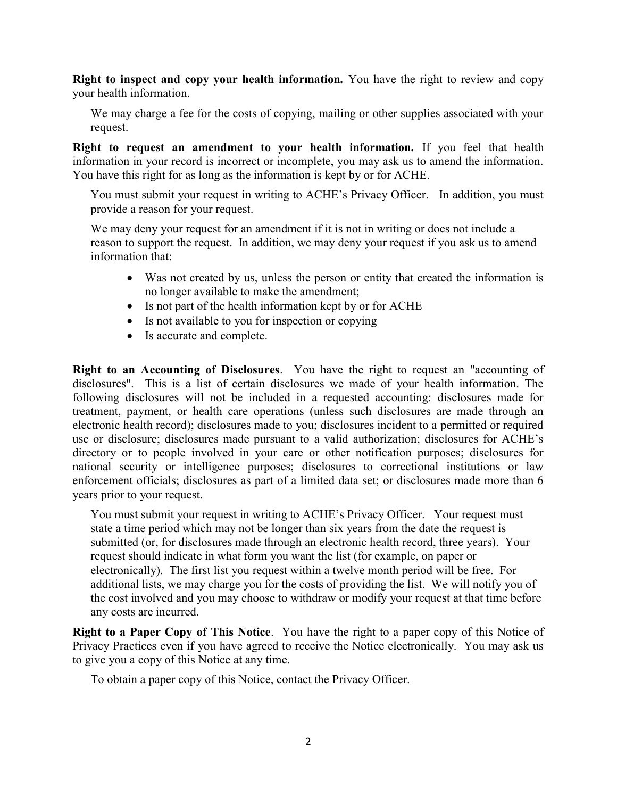Right to inspect and copy your health information. You have the right to review and copy your health information.

We may charge a fee for the costs of copying, mailing or other supplies associated with your request.

Right to request an amendment to your health information. If you feel that health information in your record is incorrect or incomplete, you may ask us to amend the information. You have this right for as long as the information is kept by or for ACHE.

You must submit your request in writing to ACHE's Privacy Officer. In addition, you must provide a reason for your request.

We may deny your request for an amendment if it is not in writing or does not include a reason to support the request. In addition, we may deny your request if you ask us to amend information that:

- Was not created by us, unless the person or entity that created the information is no longer available to make the amendment;
- Is not part of the health information kept by or for ACHE
- Is not available to you for inspection or copying
- Is accurate and complete.

Right to an Accounting of Disclosures. You have the right to request an "accounting of disclosures". This is a list of certain disclosures we made of your health information. The following disclosures will not be included in a requested accounting: disclosures made for treatment, payment, or health care operations (unless such disclosures are made through an electronic health record); disclosures made to you; disclosures incident to a permitted or required use or disclosure; disclosures made pursuant to a valid authorization; disclosures for ACHE's directory or to people involved in your care or other notification purposes; disclosures for national security or intelligence purposes; disclosures to correctional institutions or law enforcement officials; disclosures as part of a limited data set; or disclosures made more than 6 years prior to your request.

You must submit your request in writing to ACHE's Privacy Officer. Your request must state a time period which may not be longer than six years from the date the request is submitted (or, for disclosures made through an electronic health record, three years). Your request should indicate in what form you want the list (for example, on paper or electronically). The first list you request within a twelve month period will be free. For additional lists, we may charge you for the costs of providing the list. We will notify you of the cost involved and you may choose to withdraw or modify your request at that time before any costs are incurred.

Right to a Paper Copy of This Notice. You have the right to a paper copy of this Notice of Privacy Practices even if you have agreed to receive the Notice electronically. You may ask us to give you a copy of this Notice at any time.

To obtain a paper copy of this Notice, contact the Privacy Officer.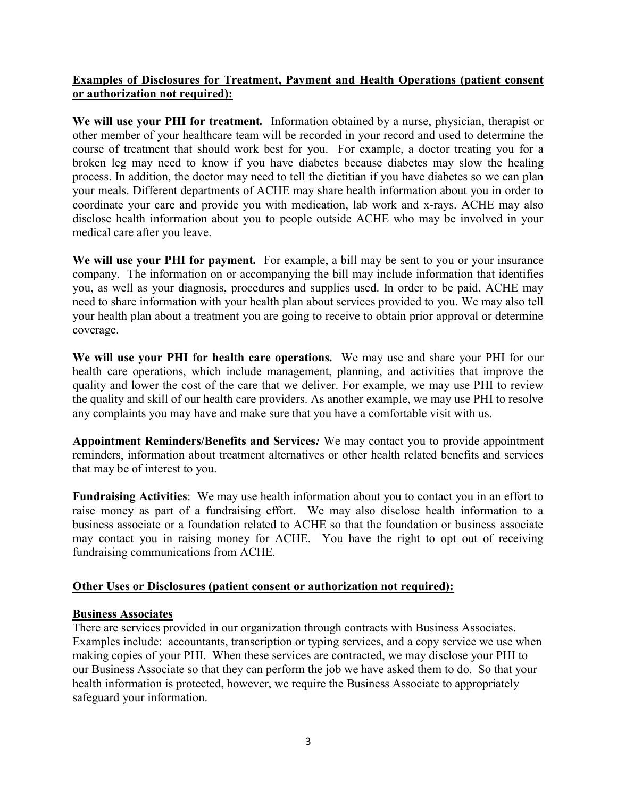# Examples of Disclosures for Treatment, Payment and Health Operations (patient consent or authorization not required):

We will use your PHI for treatment. Information obtained by a nurse, physician, therapist or other member of your healthcare team will be recorded in your record and used to determine the course of treatment that should work best for you. For example, a doctor treating you for a broken leg may need to know if you have diabetes because diabetes may slow the healing process. In addition, the doctor may need to tell the dietitian if you have diabetes so we can plan your meals. Different departments of ACHE may share health information about you in order to coordinate your care and provide you with medication, lab work and x-rays. ACHE may also disclose health information about you to people outside ACHE who may be involved in your medical care after you leave.

We will use your PHI for payment. For example, a bill may be sent to you or your insurance company. The information on or accompanying the bill may include information that identifies you, as well as your diagnosis, procedures and supplies used. In order to be paid, ACHE may need to share information with your health plan about services provided to you. We may also tell your health plan about a treatment you are going to receive to obtain prior approval or determine coverage.

We will use your PHI for health care operations. We may use and share your PHI for our health care operations, which include management, planning, and activities that improve the quality and lower the cost of the care that we deliver. For example, we may use PHI to review the quality and skill of our health care providers. As another example, we may use PHI to resolve any complaints you may have and make sure that you have a comfortable visit with us.

Appointment Reminders/Benefits and Services: We may contact you to provide appointment reminders, information about treatment alternatives or other health related benefits and services that may be of interest to you.

Fundraising Activities: We may use health information about you to contact you in an effort to raise money as part of a fundraising effort. We may also disclose health information to a business associate or a foundation related to ACHE so that the foundation or business associate may contact you in raising money for ACHE. You have the right to opt out of receiving fundraising communications from ACHE.

# Other Uses or Disclosures (patient consent or authorization not required):

# Business Associates

There are services provided in our organization through contracts with Business Associates. Examples include: accountants, transcription or typing services, and a copy service we use when making copies of your PHI. When these services are contracted, we may disclose your PHI to our Business Associate so that they can perform the job we have asked them to do. So that your health information is protected, however, we require the Business Associate to appropriately safeguard your information.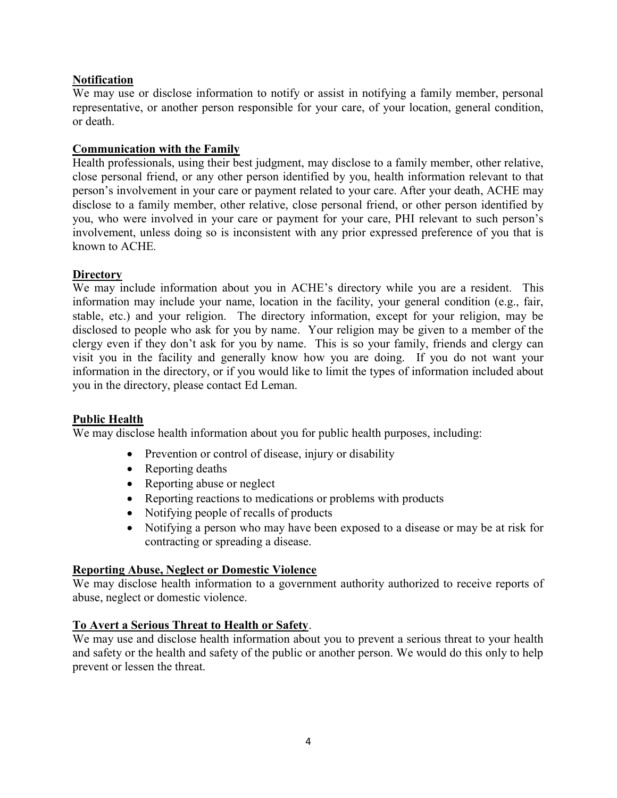# **Notification**

We may use or disclose information to notify or assist in notifying a family member, personal representative, or another person responsible for your care, of your location, general condition, or death.

# Communication with the Family

Health professionals, using their best judgment, may disclose to a family member, other relative, close personal friend, or any other person identified by you, health information relevant to that person's involvement in your care or payment related to your care. After your death, ACHE may disclose to a family member, other relative, close personal friend, or other person identified by you, who were involved in your care or payment for your care, PHI relevant to such person's involvement, unless doing so is inconsistent with any prior expressed preference of you that is known to ACHE.

# **Directory**

We may include information about you in ACHE's directory while you are a resident. This information may include your name, location in the facility, your general condition (e.g., fair, stable, etc.) and your religion. The directory information, except for your religion, may be disclosed to people who ask for you by name. Your religion may be given to a member of the clergy even if they don't ask for you by name. This is so your family, friends and clergy can visit you in the facility and generally know how you are doing. If you do not want your information in the directory, or if you would like to limit the types of information included about you in the directory, please contact Ed Leman.

# Public Health

We may disclose health information about you for public health purposes, including:

- Prevention or control of disease, injury or disability
- Reporting deaths
- Reporting abuse or neglect
- Reporting reactions to medications or problems with products
- Notifying people of recalls of products
- Notifying a person who may have been exposed to a disease or may be at risk for contracting or spreading a disease.

# Reporting Abuse, Neglect or Domestic Violence

We may disclose health information to a government authority authorized to receive reports of abuse, neglect or domestic violence.

# To Avert a Serious Threat to Health or Safety.

We may use and disclose health information about you to prevent a serious threat to your health and safety or the health and safety of the public or another person. We would do this only to help prevent or lessen the threat.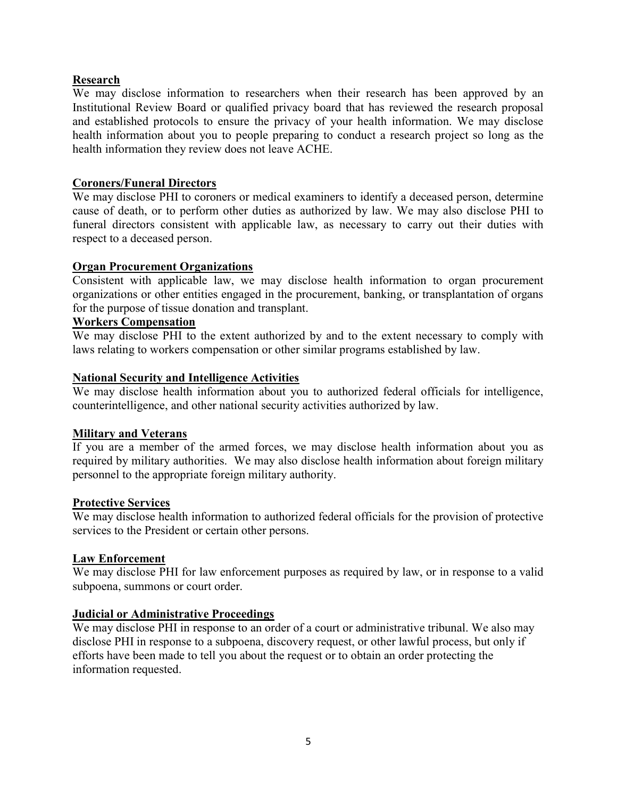# Research

We may disclose information to researchers when their research has been approved by an Institutional Review Board or qualified privacy board that has reviewed the research proposal and established protocols to ensure the privacy of your health information. We may disclose health information about you to people preparing to conduct a research project so long as the health information they review does not leave ACHE.

# Coroners/Funeral Directors

We may disclose PHI to coroners or medical examiners to identify a deceased person, determine cause of death, or to perform other duties as authorized by law. We may also disclose PHI to funeral directors consistent with applicable law, as necessary to carry out their duties with respect to a deceased person.

#### Organ Procurement Organizations

Consistent with applicable law, we may disclose health information to organ procurement organizations or other entities engaged in the procurement, banking, or transplantation of organs for the purpose of tissue donation and transplant.

# Workers Compensation

We may disclose PHI to the extent authorized by and to the extent necessary to comply with laws relating to workers compensation or other similar programs established by law.

#### National Security and Intelligence Activities

We may disclose health information about you to authorized federal officials for intelligence, counterintelligence, and other national security activities authorized by law.

#### Military and Veterans

If you are a member of the armed forces, we may disclose health information about you as required by military authorities. We may also disclose health information about foreign military personnel to the appropriate foreign military authority.

#### Protective Services

We may disclose health information to authorized federal officials for the provision of protective services to the President or certain other persons.

#### Law Enforcement

We may disclose PHI for law enforcement purposes as required by law, or in response to a valid subpoena, summons or court order.

# Judicial or Administrative Proceedings

We may disclose PHI in response to an order of a court or administrative tribunal. We also may disclose PHI in response to a subpoena, discovery request, or other lawful process, but only if efforts have been made to tell you about the request or to obtain an order protecting the information requested.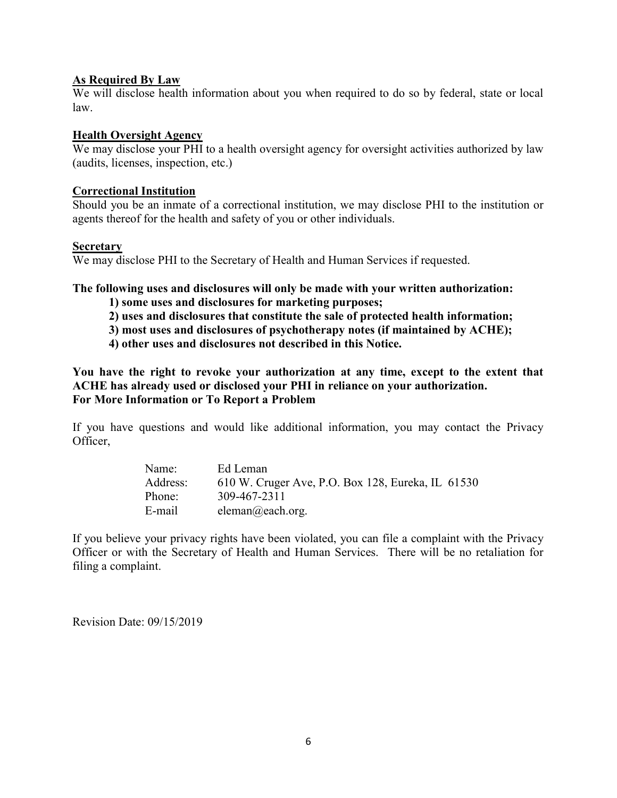# As Required By Law

We will disclose health information about you when required to do so by federal, state or local law.

# Health Oversight Agency

We may disclose your PHI to a health oversight agency for oversight activities authorized by law (audits, licenses, inspection, etc.)

### Correctional Institution

Should you be an inmate of a correctional institution, we may disclose PHI to the institution or agents thereof for the health and safety of you or other individuals.

#### **Secretary**

We may disclose PHI to the Secretary of Health and Human Services if requested.

The following uses and disclosures will only be made with your written authorization:

- 1) some uses and disclosures for marketing purposes;
- 2) uses and disclosures that constitute the sale of protected health information;
- 3) most uses and disclosures of psychotherapy notes (if maintained by ACHE);
- 4) other uses and disclosures not described in this Notice.

You have the right to revoke your authorization at any time, except to the extent that ACHE has already used or disclosed your PHI in reliance on your authorization. For More Information or To Report a Problem

If you have questions and would like additional information, you may contact the Privacy Officer,

| Name:    | Ed Leman                                          |
|----------|---------------------------------------------------|
| Address: | 610 W. Cruger Ave, P.O. Box 128, Eureka, IL 61530 |
| Phone:   | 309-467-2311                                      |
| E-mail   | eleman@each.org.                                  |

If you believe your privacy rights have been violated, you can file a complaint with the Privacy Officer or with the Secretary of Health and Human Services. There will be no retaliation for filing a complaint.

Revision Date: 09/15/2019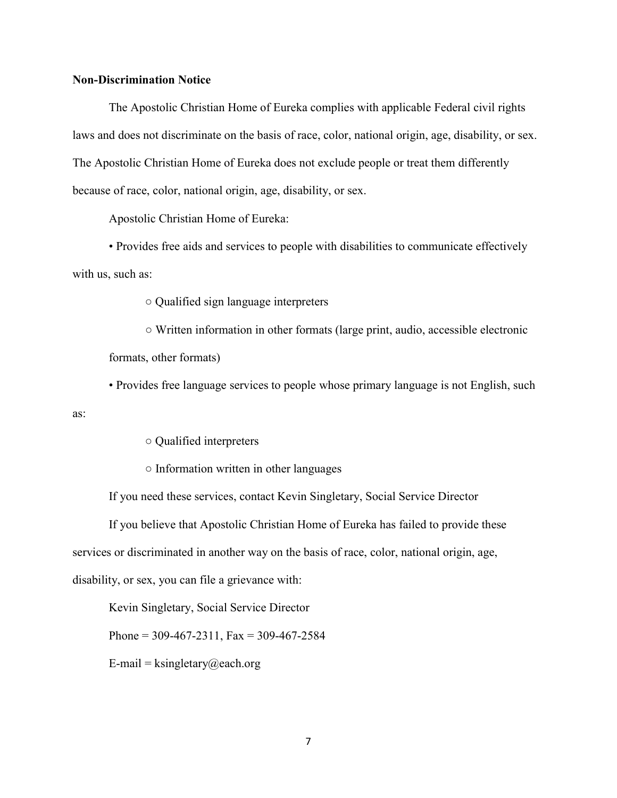#### Non-Discrimination Notice

as:

The Apostolic Christian Home of Eureka complies with applicable Federal civil rights laws and does not discriminate on the basis of race, color, national origin, age, disability, or sex. The Apostolic Christian Home of Eureka does not exclude people or treat them differently because of race, color, national origin, age, disability, or sex.

Apostolic Christian Home of Eureka:

 • Provides free aids and services to people with disabilities to communicate effectively with us, such as:

○ Qualified sign language interpreters

 ○ Written information in other formats (large print, audio, accessible electronic formats, other formats)

• Provides free language services to people whose primary language is not English, such

○ Qualified interpreters

○ Information written in other languages

If you need these services, contact Kevin Singletary, Social Service Director

If you believe that Apostolic Christian Home of Eureka has failed to provide these

services or discriminated in another way on the basis of race, color, national origin, age,

disability, or sex, you can file a grievance with:

Kevin Singletary, Social Service Director

Phone =  $309-467-2311$ , Fax =  $309-467-2584$ 

E-mail = ksingletary@each.org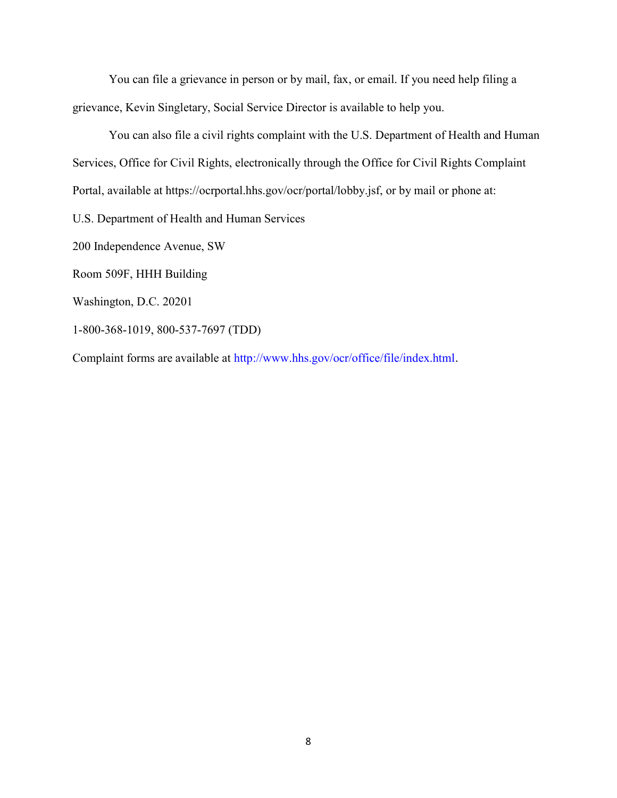You can file a grievance in person or by mail, fax, or email. If you need help filing a grievance, Kevin Singletary, Social Service Director is available to help you.

You can also file a civil rights complaint with the U.S. Department of Health and Human Services, Office for Civil Rights, electronically through the Office for Civil Rights Complaint Portal, available at https://ocrportal.hhs.gov/ocr/portal/lobby.jsf, or by mail or phone at: U.S. Department of Health and Human Services 200 Independence Avenue, SW Room 509F, HHH Building Washington, D.C. 20201 1-800-368-1019, 800-537-7697 (TDD) Complaint forms are available at http://www.hhs.gov/ocr/office/file/index.html.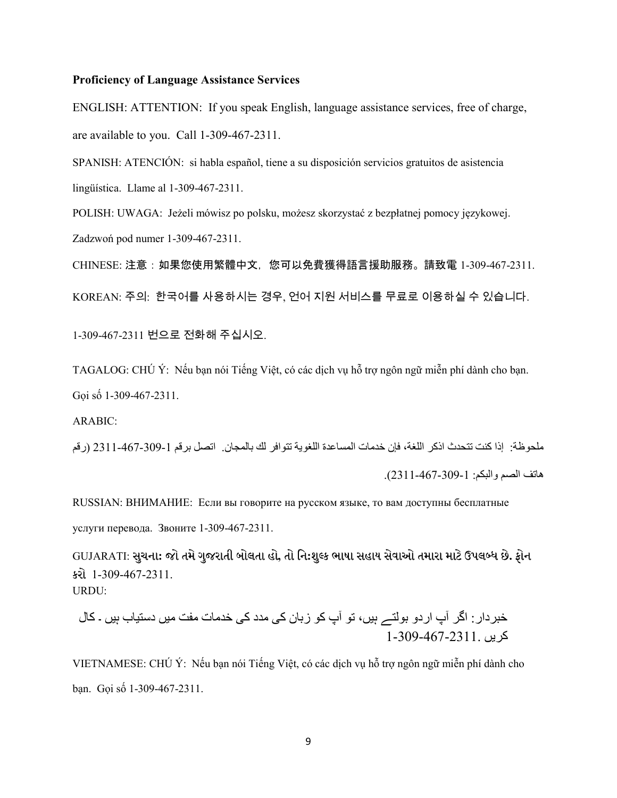#### Proficiency of Language Assistance Services

ENGLISH: ATTENTION: If you speak English, language assistance services, free of charge, are available to you. Call 1-309-467-2311.

SPANISH: ATENCIÓN: si habla español, tiene a su disposición servicios gratuitos de asistencia lingüística. Llame al 1-309-467-2311.

POLISH: UWAGA: Jeżeli mówisz po polsku, możesz skorzystać z bezpłatnej pomocy językowej. Zadzwoń pod numer 1-309-467-2311.

CHINESE: 注意:如果您使用繁體中文,您可以免費獲得語言援助服務。請致電 1-309-467-2311. KOREAN: 주의: 한국어를 사용하시는 경우, 언어 지원 서비스를 무료로 이용하실 수 있습니다.

1-309-467-2311 번으로 전화해 주십시오.

TAGALOG: CHÚ Ý: Nếu bạn nói Tiếng Việt, có các dịch vụ hỗ trợ ngôn ngữ miễn phí dành cho bạn. Gọi số 1-309-467-2311.

ARABIC:

ملحوظة: إذا كنت تتحدث اذكر اللغة، فإن خدمات المساعدة اللغوية تتوافر لك بالمجان. اتصل برقم -467-309-1 2311 (رقم هاتف الصم والبكم: -309-1 2311-467).

RUSSIAN: ВНИМАНИЕ: Если вы говорите на русском языке, то вам доступны бесплатные услуги перевода. Звоните 1-309-467-2311.

GUJARATI: સુચના: જો તમે ગુજરાતી બોલતા હો, તો નિ:શુલ્ક ભાષા સહાય સેવાઓ તમારા માટે ઉપલબ્ધ છે. ફોન કરો 1-309-467-2311. URDU:

خبردار: اگر آپ اردو بولتے ہيں، تو آپ کو زبان کی مدد کی خدمات مفت ميں دستياب ہيں ۔ کال کريں 1-309-467-2311.

VIETNAMESE: CHÚ Ý: Nếu bạn nói Tiếng Việt, có các dịch vụ hỗ trợ ngôn ngữ miễn phí dành cho bạn. Gọi số 1-309-467-2311.